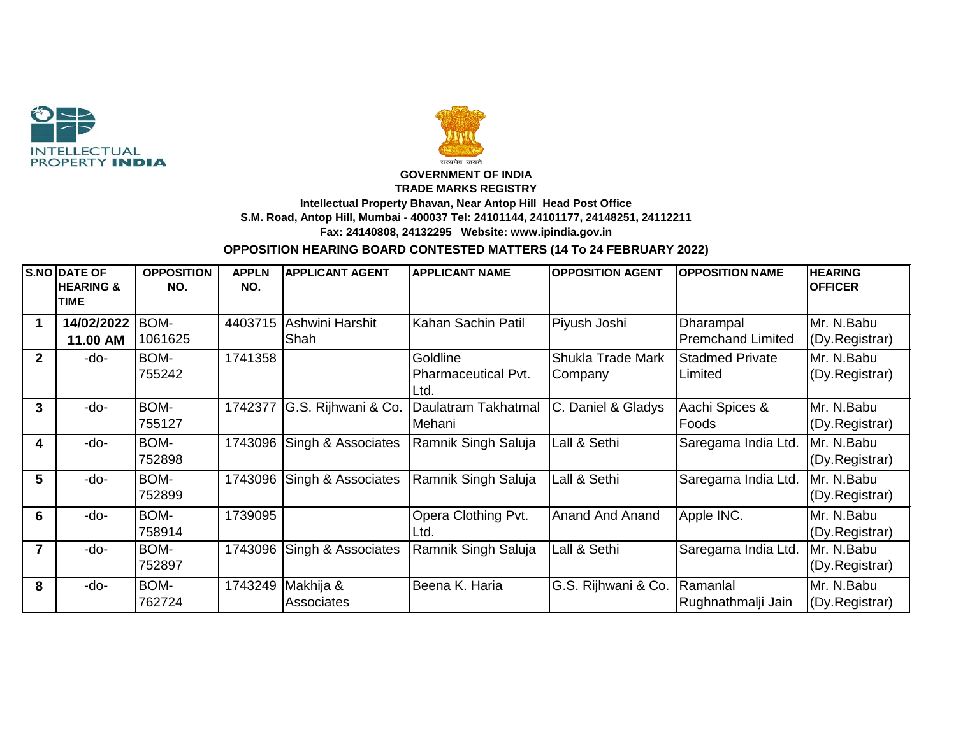



## **GOVERNMENT OF INDIA TRADE MARKS REGISTRY Intellectual Property Bhavan, Near Antop Hill Head Post Office S.M. Road, Antop Hill, Mumbai - 400037 Tel: 24101144, 24101177, 24148251, 24112211 Fax: 24140808, 24132295 Website: www.ipindia.gov.in**

## **OPPOSITION HEARING BOARD CONTESTED MATTERS (14 To 24 FEBRUARY 2022)**

|                | <b>S.NO DATE OF</b><br><b>HEARING &amp;</b><br><b>TIME</b> | <b>OPPOSITION</b><br>NO. | <b>APPLN</b><br>NO. | <b>APPLICANT AGENT</b>         | <b>APPLICANT NAME</b>                   | <b>OPPOSITION AGENT</b>             | <b>OPPOSITION NAME</b>                | <b>HEARING</b><br><b>OFFICER</b> |
|----------------|------------------------------------------------------------|--------------------------|---------------------|--------------------------------|-----------------------------------------|-------------------------------------|---------------------------------------|----------------------------------|
| 1              | 14/02/2022<br>11.00 AM                                     | BOM-<br>1061625          | 4403715             | Ashwini Harshit<br>Shah        | Kahan Sachin Patil                      | Piyush Joshi                        | Dharampal<br><b>Premchand Limited</b> | Mr. N.Babu<br>(Dy.Registrar)     |
| $\overline{2}$ | -do-                                                       | BOM-<br>755242           | 1741358             |                                | Goldline<br>Pharmaceutical Pvt.<br>Ltd. | <b>Shukla Trade Mark</b><br>Company | <b>Stadmed Private</b><br>Limited     | Mr. N.Babu<br>(Dy.Registrar)     |
| 3              | -do-                                                       | BOM-<br>755127           | 1742377             | G.S. Rijhwani & Co.            | Daulatram Takhatmal<br>Mehani           | C. Daniel & Gladys                  | Aachi Spices &<br>Foods               | Mr. N.Babu<br>(Dy.Registrar)     |
| 4              | -do-                                                       | BOM-<br>752898           | 1743096             | Singh & Associates             | Ramnik Singh Saluja                     | Lall & Sethi                        | Saregama India Ltd.                   | Mr. N.Babu<br>(Dy.Registrar)     |
| 5              | $-do-$                                                     | BOM-<br>752899           | 1743096             | Singh & Associates             | Ramnik Singh Saluja                     | Lall & Sethi                        | Saregama India Ltd.                   | Mr. N.Babu<br>(Dy.Registrar)     |
| 6              | -do-                                                       | BOM-<br>758914           | 1739095             |                                | Opera Clothing Pvt.<br>Ltd.             | <b>Anand And Anand</b>              | Apple INC.                            | Mr. N.Babu<br>(Dy.Registrar)     |
| $\overline{7}$ | -do-                                                       | BOM-<br>752897           |                     | 1743096 Singh & Associates     | Ramnik Singh Saluja                     | Lall & Sethi                        | Saregama India Ltd.                   | Mr. N.Babu<br>(Dy.Registrar)     |
| 8              | -do-                                                       | BOM-<br>762724           | 1743249             | Makhija &<br><b>Associates</b> | Beena K. Haria                          | G.S. Rijhwani & Co.                 | Ramanlal<br>Rughnathmalji Jain        | Mr. N.Babu<br>(Dy.Registrar)     |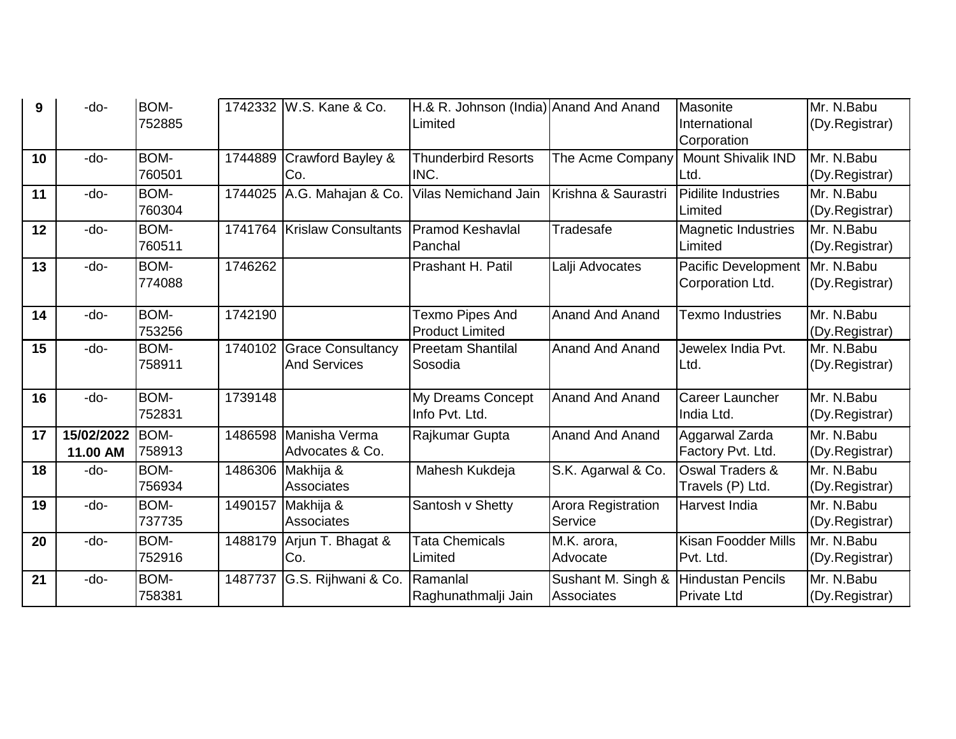| 9  | -do-       | BOM-<br>752885 |         | 1742332 W.S. Kane & Co.     | H.& R. Johnson (India) Anand And Anand<br>Limited |                                      | Masonite<br>International  | Mr. N.Babu<br>(Dy.Registrar) |
|----|------------|----------------|---------|-----------------------------|---------------------------------------------------|--------------------------------------|----------------------------|------------------------------|
|    |            |                |         |                             |                                                   |                                      | Corporation                |                              |
| 10 | -do-       | BOM-           |         | 1744889 Crawford Bayley &   | <b>Thunderbird Resorts</b>                        | The Acme Company                     | <b>Mount Shivalik IND</b>  | Mr. N.Babu                   |
|    |            | 760501         |         | Co.                         | INC.                                              |                                      | Ltd.                       | (Dy.Registrar)               |
| 11 | -do-       | BOM-           | 1744025 | A.G. Mahajan & Co.          | <b>Vilas Nemichand Jain</b>                       | Krishna & Saurastri                  | <b>Pidilite Industries</b> | Mr. N.Babu                   |
|    |            | 760304         |         |                             |                                                   |                                      | Limited                    | (Dy.Registrar)               |
| 12 | -do-       | BOM-           |         | 1741764 Krislaw Consultants | <b>Pramod Keshavlal</b>                           | Tradesafe                            | <b>Magnetic Industries</b> | Mr. N.Babu                   |
|    |            | 760511         |         |                             | Panchal                                           |                                      | Limited                    | (Dy.Registrar)               |
| 13 | -do-       | BOM-           | 1746262 |                             | Prashant H. Patil                                 | Lalji Advocates                      | Pacific Development        | Mr. N.Babu                   |
|    |            | 774088         |         |                             |                                                   |                                      | Corporation Ltd.           | (Dy.Registrar)               |
|    |            | <b>BOM-</b>    |         |                             |                                                   |                                      |                            | Mr. N.Babu                   |
| 14 | -do-       | 753256         | 1742190 |                             | <b>Texmo Pipes And</b><br><b>Product Limited</b>  | <b>Anand And Anand</b>               | <b>Texmo Industries</b>    | (Dy.Registrar)               |
| 15 | -do-       | BOM-           |         | 1740102 Grace Consultancy   | <b>Preetam Shantilal</b>                          | <b>Anand And Anand</b>               | Jewelex India Pvt.         | Mr. N.Babu                   |
|    |            | 758911         |         | <b>And Services</b>         | Sosodia                                           |                                      | Ltd.                       | (Dy.Registrar)               |
|    |            |                |         |                             |                                                   |                                      |                            |                              |
| 16 | -do-       | BOM-           | 1739148 |                             | <b>My Dreams Concept</b>                          | <b>Anand And Anand</b>               | <b>Career Launcher</b>     | Mr. N.Babu                   |
|    |            | 752831         |         |                             | Info Pvt. Ltd.                                    |                                      | India Ltd.                 | (Dy.Registrar)               |
| 17 | 15/02/2022 | BOM-           | 1486598 | Manisha Verma               | Rajkumar Gupta                                    | <b>Anand And Anand</b>               | Aggarwal Zarda             | Mr. N.Babu                   |
|    | 11.00 AM   | 758913         |         | Advocates & Co.             |                                                   |                                      | Factory Pvt. Ltd.          | (Dy.Registrar)               |
| 18 | -do-       | BOM-           | 1486306 | Makhija &                   | Mahesh Kukdeja                                    | S.K. Agarwal & Co.                   | <b>Oswal Traders &amp;</b> | Mr. N.Babu                   |
|    |            | 756934         |         | <b>Associates</b>           |                                                   |                                      | Travels (P) Ltd.           | (Dy.Registrar)               |
| 19 | -do-       | BOM-           | 1490157 | Makhija &                   | Santosh v Shetty                                  | Arora Registration                   | Harvest India              | Mr. N.Babu                   |
|    |            | 737735         |         | Associates                  |                                                   | Service                              |                            | (Dy.Registrar)               |
| 20 | -do-       | <b>BOM-</b>    | 1488179 | Arjun T. Bhagat &           | <b>Tata Chemicals</b>                             | M.K. arora,                          | <b>Kisan Foodder Mills</b> | Mr. N.Babu                   |
|    |            | 752916         |         | Co.                         | Limited                                           | Advocate                             | Pvt. Ltd.                  | (Dy.Registrar)               |
| 21 | -do-       | BOM-           | 1487737 | G.S. Rijhwani & Co.         | Ramanlal                                          | Sushant M. Singh & Hindustan Pencils |                            | Mr. N.Babu                   |
|    |            | 758381         |         |                             | Raghunathmalji Jain                               | Associates                           | <b>Private Ltd</b>         | (Dy.Registrar)               |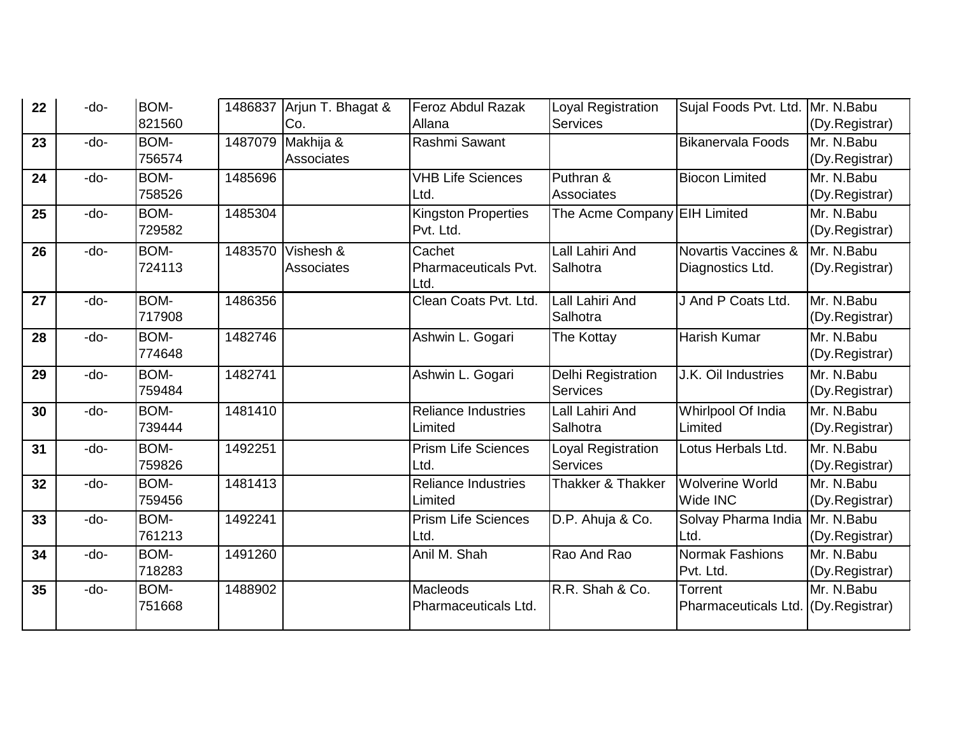| 22 | -do- | BOM-   | 1486837 | Arjun T. Bhagat & | <b>Feroz Abdul Razak</b>   | Loyal Registration           | Sujal Foods Pvt. Ltd.          | Mr. N.Babu     |
|----|------|--------|---------|-------------------|----------------------------|------------------------------|--------------------------------|----------------|
|    |      | 821560 |         | Co.               | Allana                     | <b>Services</b>              |                                | (Dy.Registrar) |
| 23 | -do- | BOM-   | 1487079 | Makhija &         | Rashmi Sawant              |                              | <b>Bikanervala Foods</b>       | Mr. N.Babu     |
|    |      | 756574 |         | Associates        |                            |                              |                                | (Dy.Registrar) |
| 24 | -do- | BOM-   | 1485696 |                   | <b>VHB Life Sciences</b>   | Puthran &                    | <b>Biocon Limited</b>          | Mr. N.Babu     |
|    |      | 758526 |         |                   | Ltd.                       | Associates                   |                                | (Dy.Registrar) |
| 25 | -do- | BOM-   | 1485304 |                   | <b>Kingston Properties</b> | The Acme Company EIH Limited |                                | Mr. N.Babu     |
|    |      | 729582 |         |                   | Pvt. Ltd.                  |                              |                                | (Dy.Registrar) |
| 26 | -do- | BOM-   | 1483570 | Vishesh &         | Cachet                     | Lall Lahiri And              | <b>Novartis Vaccines &amp;</b> | Mr. N.Babu     |
|    |      | 724113 |         | Associates        | Pharmaceuticals Pvt.       | Salhotra                     | Diagnostics Ltd.               | (Dy.Registrar) |
|    |      |        |         |                   | Ltd.                       |                              |                                |                |
| 27 | -do- | BOM-   | 1486356 |                   | Clean Coats Pvt. Ltd.      | Lall Lahiri And              | J And P Coats Ltd.             | Mr. N.Babu     |
|    |      | 717908 |         |                   |                            | Salhotra                     |                                | (Dy.Registrar) |
| 28 | -do- | BOM-   | 1482746 |                   | Ashwin L. Gogari           | The Kottay                   | <b>Harish Kumar</b>            | Mr. N.Babu     |
|    |      | 774648 |         |                   |                            |                              |                                | (Dy.Registrar) |
| 29 | -do- | BOM-   | 1482741 |                   | Ashwin L. Gogari           | Delhi Registration           | J.K. Oil Industries            | Mr. N.Babu     |
|    |      | 759484 |         |                   |                            | <b>Services</b>              |                                | (Dy.Registrar) |
| 30 | -do- | BOM-   | 1481410 |                   | <b>Reliance Industries</b> | Lall Lahiri And              | Whirlpool Of India             | Mr. N.Babu     |
|    |      | 739444 |         |                   | Limited                    | Salhotra                     | Limited                        | (Dy.Registrar) |
| 31 | -do- | BOM-   | 1492251 |                   | <b>Prism Life Sciences</b> | Loyal Registration           | Lotus Herbals Ltd.             | Mr. N.Babu     |
|    |      | 759826 |         |                   | Ltd.                       | <b>Services</b>              |                                | (Dy.Registrar) |
| 32 | -do- | BOM-   | 1481413 |                   | <b>Reliance Industries</b> | Thakker & Thakker            | <b>Wolverine World</b>         | Mr. N.Babu     |
|    |      | 759456 |         |                   | Limited                    |                              | <b>Wide INC</b>                | (Dy.Registrar) |
| 33 | -do- | BOM-   | 1492241 |                   | <b>Prism Life Sciences</b> | D.P. Ahuja & Co.             | Solvay Pharma India            | Mr. N.Babu     |
|    |      | 761213 |         |                   | Ltd.                       |                              | Ltd.                           | (Dy.Registrar) |
| 34 | -do- | BOM-   | 1491260 |                   | Anil M. Shah               | Rao And Rao                  | <b>Normak Fashions</b>         | Mr. N.Babu     |
|    |      | 718283 |         |                   |                            |                              | Pvt. Ltd.                      | (Dy.Registrar) |
| 35 | -do- | BOM-   | 1488902 |                   | <b>Macleods</b>            | R.R. Shah & Co.              | Torrent                        | Mr. N.Babu     |
|    |      | 751668 |         |                   | Pharmaceuticals Ltd.       |                              | Pharmaceuticals Ltd.           | (Dy.Registrar) |
|    |      |        |         |                   |                            |                              |                                |                |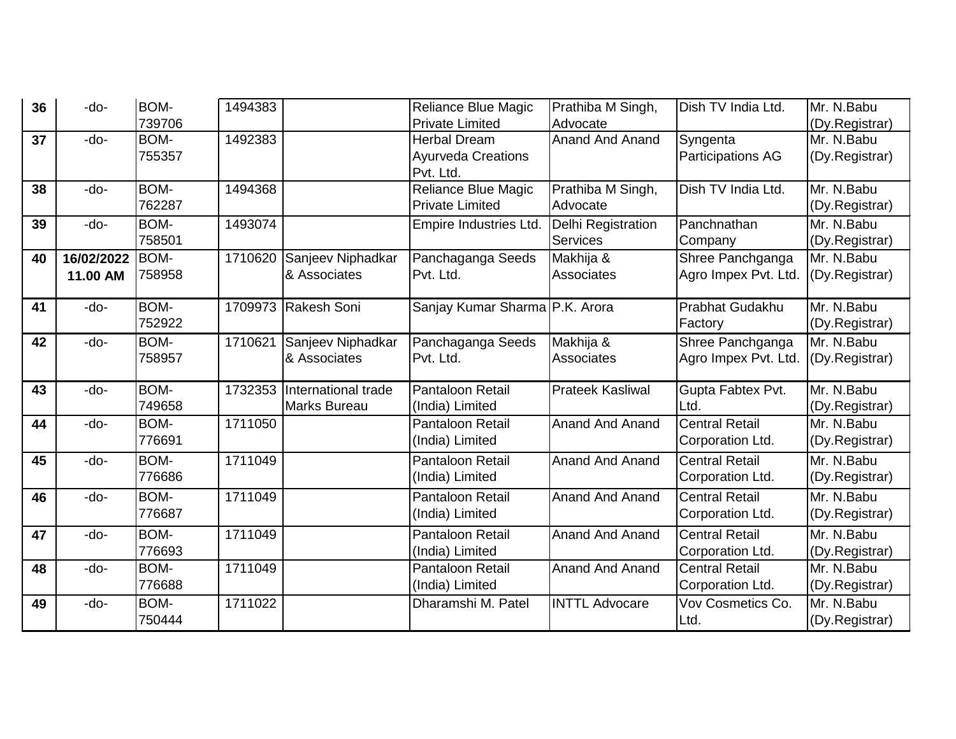| 36 | -do-       | <b>BOM-</b>    | 1494383 |                     | <b>Reliance Blue Magic</b>          | Prathiba M Singh,         | Dish TV India Ltd.       | Mr. N.Babu     |
|----|------------|----------------|---------|---------------------|-------------------------------------|---------------------------|--------------------------|----------------|
|    |            | 739706         |         |                     | <b>Private Limited</b>              | Advocate                  |                          | (Dy.Registrar) |
| 37 | -do-       | <b>BOM-</b>    | 1492383 |                     | <b>Herbal Dream</b>                 | <b>Anand And Anand</b>    | Syngenta                 | Mr. N.Babu     |
|    |            | 755357         |         |                     | <b>Ayurveda Creations</b>           |                           | <b>Participations AG</b> | (Dy.Registrar) |
|    |            |                |         |                     | Pvt. Ltd.                           |                           |                          |                |
| 38 | -do-       | BOM-           | 1494368 |                     | Reliance Blue Magic                 | Prathiba M Singh,         | Dish TV India Ltd.       | Mr. N.Babu     |
|    |            | 762287         |         |                     | <b>Private Limited</b>              | Advocate                  |                          | (Dy.Registrar) |
| 39 | -do-       | BOM-           | 1493074 |                     | Empire Industries Ltd.              | <b>Delhi Registration</b> | Panchnathan              | Mr. N.Babu     |
|    |            | 758501         |         |                     |                                     | <b>Services</b>           | Company                  | (Dy.Registrar) |
| 40 | 16/02/2022 | BOM-           | 1710620 | Sanjeev Niphadkar   | Panchaganga Seeds                   | Makhija &                 | Shree Panchganga         | Mr. N.Babu     |
|    | 11.00 AM   | 758958         |         | & Associates        | Pvt. Ltd.                           | <b>Associates</b>         | Agro Impex Pvt. Ltd.     | (Dy.Registrar) |
|    |            |                |         |                     |                                     |                           |                          |                |
| 41 | -do-       | BOM-           | 1709973 | Rakesh Soni         | Sanjay Kumar Sharma P.K. Arora      |                           | Prabhat Gudakhu          | Mr. N.Babu     |
|    |            | 752922         |         |                     |                                     |                           | Factory                  | (Dy.Registrar) |
| 42 | -do-       | BOM-           | 1710621 | Sanjeev Niphadkar   | Panchaganga Seeds                   | Makhija &                 | Shree Panchganga         | Mr. N.Babu     |
|    |            | 758957         |         | & Associates        | Pvt. Ltd.                           | <b>Associates</b>         | Agro Impex Pvt. Ltd.     | (Dy.Registrar) |
| 43 | -do-       | <b>BOM-</b>    | 1732353 | International trade | Pantaloon Retail                    | <b>Prateek Kasliwal</b>   | Gupta Fabtex Pvt.        | Mr. N.Babu     |
|    |            | 749658         |         | <b>Marks Bureau</b> | (India) Limited                     |                           | Ltd.                     | (Dy.Registrar) |
| 44 | -do-       | BOM-           | 1711050 |                     | Pantaloon Retail                    | <b>Anand And Anand</b>    | <b>Central Retail</b>    | Mr. N.Babu     |
|    |            | 776691         |         |                     | (India) Limited                     |                           | Corporation Ltd.         | (Dy.Registrar) |
| 45 | -do-       | <b>BOM-</b>    | 1711049 |                     | Pantaloon Retail                    | <b>Anand And Anand</b>    | <b>Central Retail</b>    | Mr. N.Babu     |
|    |            | 776686         |         |                     | (India) Limited                     |                           | Corporation Ltd.         | (Dy.Registrar) |
|    |            |                |         |                     |                                     |                           |                          | Mr. N.Babu     |
| 46 | -do-       | BOM-<br>776687 | 1711049 |                     | Pantaloon Retail<br>(India) Limited | <b>Anand And Anand</b>    | <b>Central Retail</b>    |                |
|    |            |                |         |                     |                                     |                           | Corporation Ltd.         | (Dy.Registrar) |
| 47 | -do-       | <b>BOM-</b>    | 1711049 |                     | <b>Pantaloon Retail</b>             | <b>Anand And Anand</b>    | <b>Central Retail</b>    | Mr. N.Babu     |
|    |            | 776693         |         |                     | (India) Limited                     |                           | Corporation Ltd.         | (Dy.Registrar) |
| 48 | -do-       | <b>BOM-</b>    | 1711049 |                     | Pantaloon Retail                    | <b>Anand And Anand</b>    | <b>Central Retail</b>    | Mr. N.Babu     |
|    |            | 776688         |         |                     | (India) Limited                     |                           | Corporation Ltd.         | (Dy.Registrar) |
| 49 | -do-       | <b>BOM-</b>    | 1711022 |                     | Dharamshi M. Patel                  | <b>INTTL Advocare</b>     | Vov Cosmetics Co.        | Mr. N.Babu     |
|    |            | 750444         |         |                     |                                     |                           | Ltd.                     | (Dy.Registrar) |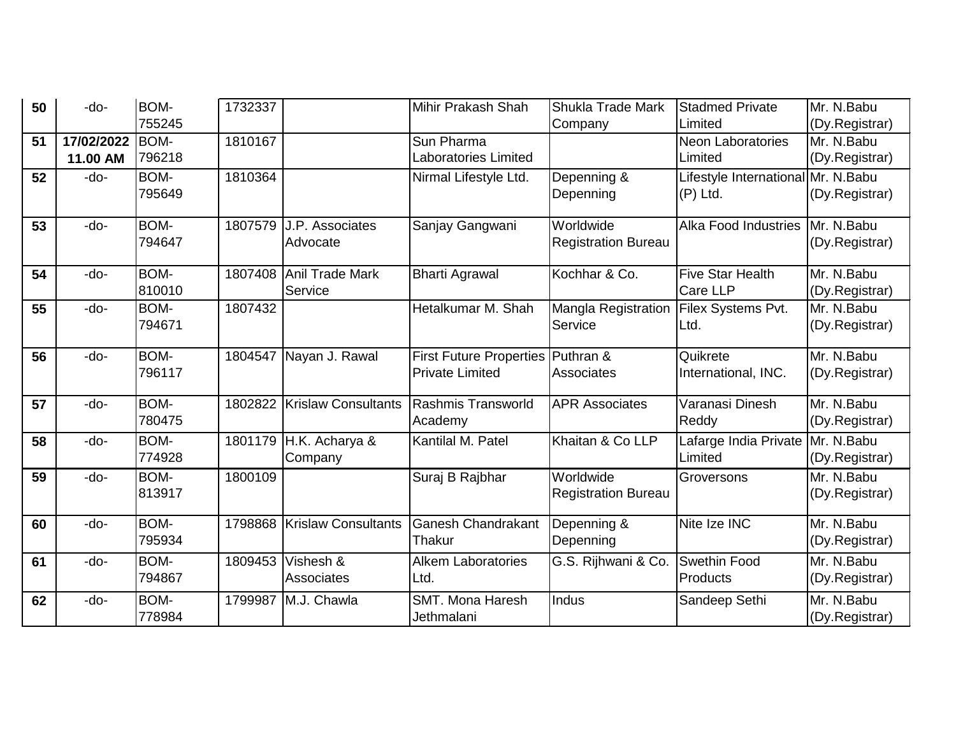| 50 | -do-       | BOM-   | 1732337 |                            | Mihir Prakash Shah                | <b>Shukla Trade Mark</b>   | <b>Stadmed Private</b>             | Mr. N.Babu     |
|----|------------|--------|---------|----------------------------|-----------------------------------|----------------------------|------------------------------------|----------------|
|    |            | 755245 |         |                            |                                   | Company                    | Limited                            | (Dy.Registrar) |
| 51 | 17/02/2022 | BOM-   | 1810167 |                            | Sun Pharma                        |                            | <b>Neon Laboratories</b>           | Mr. N.Babu     |
|    | 11.00 AM   | 796218 |         |                            | Laboratories Limited              |                            | Limited                            | (Dy.Registrar) |
| 52 | -do-       | BOM-   | 1810364 |                            | Nirmal Lifestyle Ltd.             | Depenning &                | Lifestyle International Mr. N.Babu |                |
|    |            | 795649 |         |                            |                                   | Depenning                  | $(P)$ Ltd.                         | (Dy.Registrar) |
|    |            | BOM-   |         | J.P. Associates            |                                   | Worldwide                  | <b>Alka Food Industries</b>        | Mr. N.Babu     |
| 53 | -do-       | 794647 | 1807579 | Advocate                   | Sanjay Gangwani                   |                            |                                    |                |
|    |            |        |         |                            |                                   | <b>Registration Bureau</b> |                                    | (Dy.Registrar) |
| 54 | -do-       | BOM-   | 1807408 | Anil Trade Mark            | <b>Bharti Agrawal</b>             | Kochhar & Co.              | <b>Five Star Health</b>            | Mr. N.Babu     |
|    |            | 810010 |         | Service                    |                                   |                            | Care LLP                           | (Dy.Registrar) |
| 55 | -do-       | BOM-   | 1807432 |                            | Hetalkumar M. Shah                | <b>Mangla Registration</b> | Filex Systems Pvt.                 | Mr. N.Babu     |
|    |            | 794671 |         |                            |                                   | Service                    | Ltd.                               | (Dy.Registrar) |
|    |            |        |         |                            |                                   |                            |                                    |                |
| 56 | -do-       | BOM-   | 1804547 | Nayan J. Rawal             | First Future Properties Puthran & |                            | Quikrete                           | Mr. N.Babu     |
|    |            | 796117 |         |                            | <b>Private Limited</b>            | <b>Associates</b>          | International, INC.                | (Dy.Registrar) |
| 57 | -do-       | BOM-   | 1802822 | <b>Krislaw Consultants</b> | Rashmis Transworld                | <b>APR Associates</b>      | Varanasi Dinesh                    | Mr. N.Babu     |
|    |            | 780475 |         |                            | Academy                           |                            | Reddy                              | (Dy.Registrar) |
| 58 | -do-       | BOM-   | 1801179 | H.K. Acharya &             | Kantilal M. Patel                 | Khaitan & Co LLP           | Lafarge India Private              | Mr. N.Babu     |
|    |            | 774928 |         | Company                    |                                   |                            | Limited                            | (Dy.Registrar) |
| 59 | -do-       | BOM-   | 1800109 |                            | Suraj B Rajbhar                   | Worldwide                  | Groversons                         | Mr. N.Babu     |
|    |            | 813917 |         |                            |                                   | <b>Registration Bureau</b> |                                    | (Dy.Registrar) |
| 60 | -do-       | BOM-   | 1798868 | <b>Krislaw Consultants</b> | <b>Ganesh Chandrakant</b>         | Depenning &                | Nite Ize INC                       | Mr. N.Babu     |
|    |            | 795934 |         |                            | Thakur                            | Depenning                  |                                    | (Dy.Registrar) |
|    |            |        |         |                            |                                   |                            |                                    |                |
| 61 | -do-       | BOM-   | 1809453 | Vishesh &                  | <b>Alkem Laboratories</b>         | G.S. Rijhwani & Co.        | <b>Swethin Food</b>                | Mr. N.Babu     |
|    |            | 794867 |         | <b>Associates</b>          | Ltd.                              |                            | <b>Products</b>                    | (Dy.Registrar) |
| 62 | -do-       | BOM-   | 1799987 | M.J. Chawla                | <b>SMT. Mona Haresh</b>           | Indus                      | Sandeep Sethi                      | Mr. N.Babu     |
|    |            | 778984 |         |                            | Jethmalani                        |                            |                                    | (Dy.Registrar) |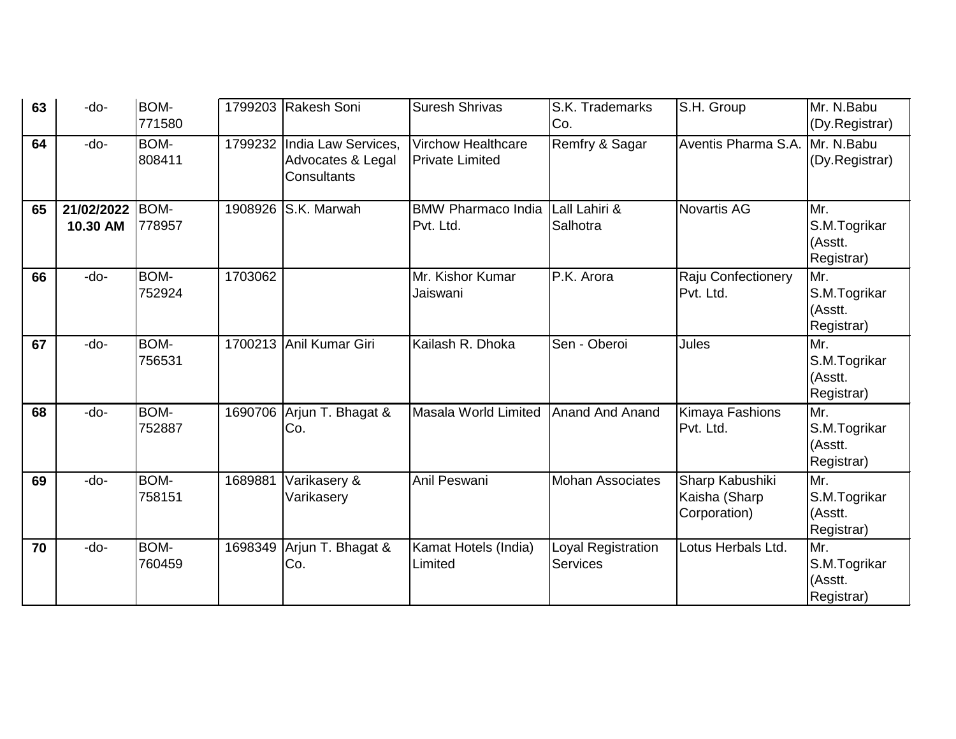| 63 | -do-                   | BOM-<br>771580 |         | 1799203 Rakesh Soni                                                    | <b>Suresh Shrivas</b>                               | S.K. Trademarks<br>Co.                | S.H. Group                                       | Mr. N.Babu<br>(Dy.Registrar)                 |
|----|------------------------|----------------|---------|------------------------------------------------------------------------|-----------------------------------------------------|---------------------------------------|--------------------------------------------------|----------------------------------------------|
| 64 | $-do-$                 | BOM-<br>808411 |         | 1799232 India Law Services,<br>Advocates & Legal<br><b>Consultants</b> | <b>Virchow Healthcare</b><br><b>Private Limited</b> | Remfry & Sagar                        | Aventis Pharma S.A.                              | Mr. N.Babu<br>(Dy.Registrar)                 |
| 65 | 21/02/2022<br>10.30 AM | BOM-<br>778957 | 1908926 | S.K. Marwah                                                            | <b>BMW Pharmaco India</b><br>Pvt. Ltd.              | Lall Lahiri &<br>Salhotra             | <b>Novartis AG</b>                               | Mr.<br>S.M.Togrikar<br>(Asstt.<br>Registrar) |
| 66 | -do-                   | BOM-<br>752924 | 1703062 |                                                                        | Mr. Kishor Kumar<br>Jaiswani                        | P.K. Arora                            | <b>Raju Confectionery</b><br>Pvt. Ltd.           | Mr.<br>S.M.Togrikar<br>(Asstt.<br>Registrar) |
| 67 | $-do-$                 | BOM-<br>756531 | 1700213 | Anil Kumar Giri                                                        | Kailash R. Dhoka                                    | Sen - Oberoi                          | Jules                                            | Mr.<br>S.M.Togrikar<br>(Asstt.<br>Registrar) |
| 68 | -do-                   | BOM-<br>752887 | 1690706 | Arjun T. Bhagat &<br>Co.                                               | Masala World Limited                                | Anand And Anand                       | Kimaya Fashions<br>Pvt. Ltd.                     | Mr.<br>S.M.Togrikar<br>(Asstt.<br>Registrar) |
| 69 | $-do-$                 | BOM-<br>758151 | 1689881 | Varikasery &<br>Varikasery                                             | Anil Peswani                                        | <b>Mohan Associates</b>               | Sharp Kabushiki<br>Kaisha (Sharp<br>Corporation) | Mr.<br>S.M.Togrikar<br>(Asstt.<br>Registrar) |
| 70 | -do-                   | BOM-<br>760459 | 1698349 | Arjun T. Bhagat &<br>Co.                                               | Kamat Hotels (India)<br>Limited                     | Loyal Registration<br><b>Services</b> | Lotus Herbals Ltd.                               | Mr.<br>S.M.Togrikar<br>(Asstt.<br>Registrar) |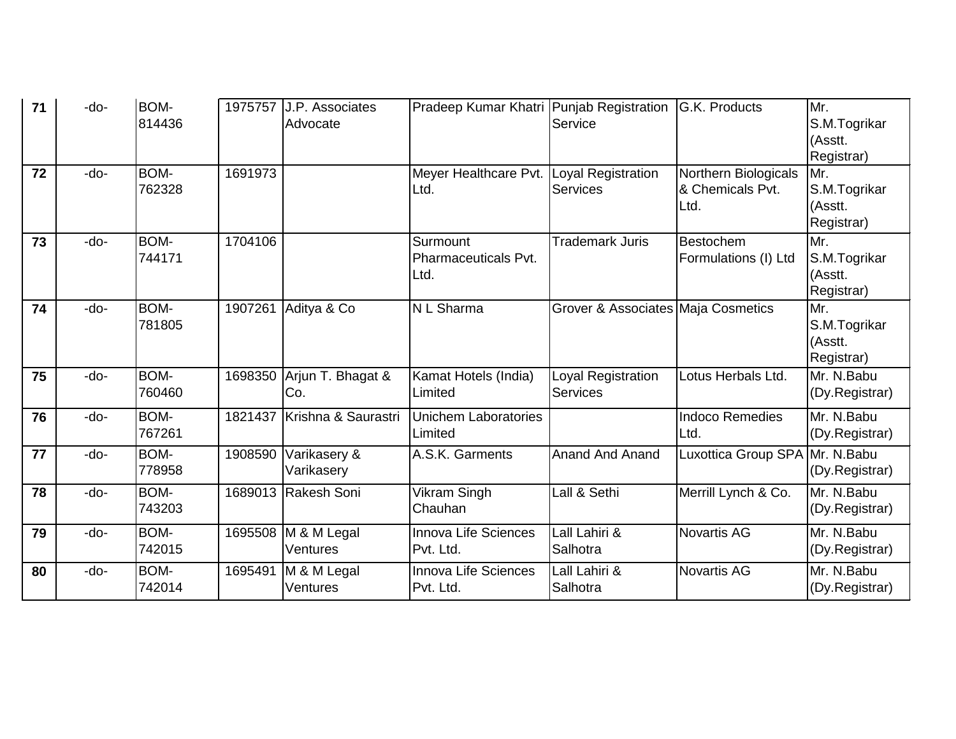| 71 | $-do-$ | BOM-        |         | 1975757 J.P. Associates     | Pradeep Kumar Khatri   Punjab Registration |                                    | <b>G.K. Products</b>           | Mr.               |
|----|--------|-------------|---------|-----------------------------|--------------------------------------------|------------------------------------|--------------------------------|-------------------|
|    |        | 814436      |         | Advocate                    |                                            | Service                            |                                | S.M.Togrikar      |
|    |        |             |         |                             |                                            |                                    |                                | (Asstt.           |
|    |        |             |         |                             |                                            |                                    |                                | Registrar)        |
| 72 | -do-   | <b>BOM-</b> | 1691973 |                             | Meyer Healthcare Pvt.                      | Loyal Registration                 | Northern Biologicals           | Mr.               |
|    |        | 762328      |         |                             | Ltd.                                       | <b>Services</b>                    | & Chemicals Pvt.               | S.M.Togrikar      |
|    |        |             |         |                             |                                            |                                    | Ltd.                           | (Asstt.           |
|    |        |             |         |                             |                                            |                                    |                                | Registrar)        |
| 73 | -do-   | BOM-        | 1704106 |                             | Surmount                                   | <b>Trademark Juris</b>             | Bestochem                      | Mr.               |
|    |        | 744171      |         |                             | Pharmaceuticals Pvt.                       |                                    | Formulations (I) Ltd           | S.M.Togrikar      |
|    |        |             |         |                             | Ltd.                                       |                                    |                                | (Asstt.           |
| 74 | $-do-$ | BOM-        | 1907261 | Aditya & Co                 | N L Sharma                                 | Grover & Associates Maja Cosmetics |                                | Registrar)<br>Mr. |
|    |        | 781805      |         |                             |                                            |                                    |                                | S.M.Togrikar      |
|    |        |             |         |                             |                                            |                                    |                                | (Asstt.           |
|    |        |             |         |                             |                                            |                                    |                                | Registrar)        |
| 75 | -do-   | BOM-        | 1698350 | Arjun T. Bhagat &           | Kamat Hotels (India)                       | Loyal Registration                 | Lotus Herbals Ltd.             | Mr. N.Babu        |
|    |        | 760460      |         | Co.                         | Limited                                    | <b>Services</b>                    |                                | (Dy.Registrar)    |
|    |        |             |         |                             |                                            |                                    |                                |                   |
| 76 | -do-   | <b>BOM-</b> |         | 1821437 Krishna & Saurastri | <b>Unichem Laboratories</b>                |                                    | <b>Indoco Remedies</b>         | Mr. N.Babu        |
|    |        | 767261      |         |                             | Limited                                    |                                    | Ltd.                           | (Dy.Registrar)    |
| 77 | -do-   | BOM-        | 1908590 | Varikasery &                | A.S.K. Garments                            | <b>Anand And Anand</b>             | Luxottica Group SPA Mr. N.Babu |                   |
|    |        | 778958      |         | Varikasery                  |                                            |                                    |                                | (Dy.Registrar)    |
| 78 | -do-   | BOM-        |         | 1689013 Rakesh Soni         | Vikram Singh                               | Lall & Sethi                       | Merrill Lynch & Co.            | Mr. N.Babu        |
|    |        | 743203      |         |                             | Chauhan                                    |                                    |                                | (Dy.Registrar)    |
| 79 | -do-   | BOM-        |         | 1695508 M & M Legal         | Innova Life Sciences                       | Lall Lahiri &                      | Novartis AG                    | Mr. N.Babu        |
|    |        | 742015      |         | <b>Ventures</b>             | Pvt. Ltd.                                  | Salhotra                           |                                | (Dy.Registrar)    |
| 80 | -do-   | BOM-        | 1695491 | M & M Legal                 | <b>Innova Life Sciences</b>                | Lall Lahiri &                      | Novartis AG                    | Mr. N.Babu        |
|    |        | 742014      |         | <b>Ventures</b>             | Pvt. Ltd.                                  | Salhotra                           |                                | (Dy.Registrar)    |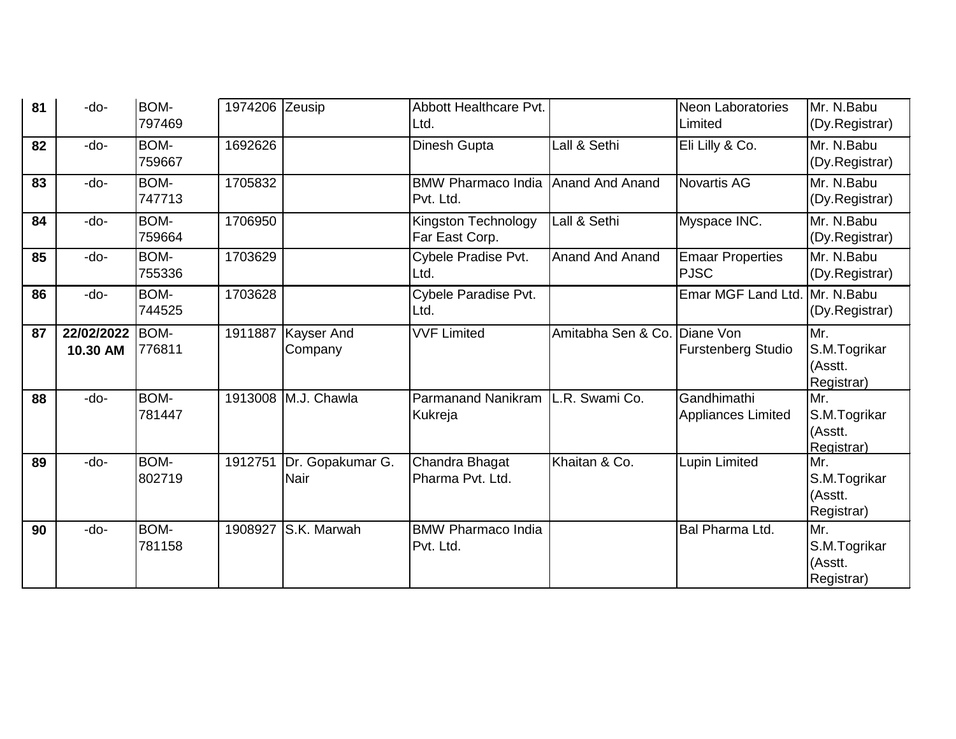| 81 | -do-                   | <b>BOM-</b><br>797469 | 1974206 Zeusip |                                 | Abbott Healthcare Pvt.<br>Ltd.                 |                              | <b>Neon Laboratories</b><br>Limited    | Mr. N.Babu<br>(Dy.Registrar)                 |
|----|------------------------|-----------------------|----------------|---------------------------------|------------------------------------------------|------------------------------|----------------------------------------|----------------------------------------------|
| 82 | -do-                   | BOM-<br>759667        | 1692626        |                                 | Dinesh Gupta                                   | Lall & Sethi                 | Eli Lilly & Co.                        | Mr. N.Babu<br>(Dy.Registrar)                 |
| 83 | -do-                   | BOM-<br>747713        | 1705832        |                                 | <b>BMW Pharmaco India</b><br>Pvt. Ltd.         | <b>Anand And Anand</b>       | <b>Novartis AG</b>                     | Mr. N.Babu<br>(Dy.Registrar)                 |
| 84 | -do-                   | BOM-<br>759664        | 1706950        |                                 | Kingston Technology<br>Far East Corp.          | Lall & Sethi                 | Myspace INC.                           | Mr. N.Babu<br>(Dy.Registrar)                 |
| 85 | -do-                   | BOM-<br>755336        | 1703629        |                                 | Cybele Pradise Pvt.<br>Ltd.                    | <b>Anand And Anand</b>       | <b>Emaar Properties</b><br><b>PJSC</b> | Mr. N.Babu<br>(Dy.Registrar)                 |
| 86 | -do-                   | BOM-<br>744525        | 1703628        |                                 | Cybele Paradise Pvt.<br>Ltd.                   |                              | Emar MGF Land Ltd. Mr. N.Babu          | (Dy.Registrar)                               |
| 87 | 22/02/2022<br>10.30 AM | BOM-<br>776811        |                | 1911887 Kayser And<br>Company   | <b>VVF Limited</b>                             | Amitabha Sen & Co. Diane Von | <b>Furstenberg Studio</b>              | Mr.<br>S.M.Togrikar<br>(Asstt.<br>Registrar) |
| 88 | -do-                   | BOM-<br>781447        |                | 1913008 M.J. Chawla             | Parmanand Nanikram   L.R. Swami Co.<br>Kukreja |                              | Gandhimathi<br>Appliances Limited      | Mr.<br>S.M.Togrikar<br>(Asstt.<br>Registrar) |
| 89 | -do-                   | BOM-<br>802719        | 1912751        | Dr. Gopakumar G.<br><b>Nair</b> | Chandra Bhagat<br>Pharma Pvt. Ltd.             | Khaitan & Co.                | <b>Lupin Limited</b>                   | Mr.<br>S.M.Togrikar<br>(Asstt.<br>Registrar) |
| 90 | -do-                   | BOM-<br>781158        | 1908927        | S.K. Marwah                     | <b>BMW Pharmaco India</b><br>Pvt. Ltd.         |                              | Bal Pharma Ltd.                        | Mr.<br>S.M.Togrikar<br>(Asstt.<br>Registrar) |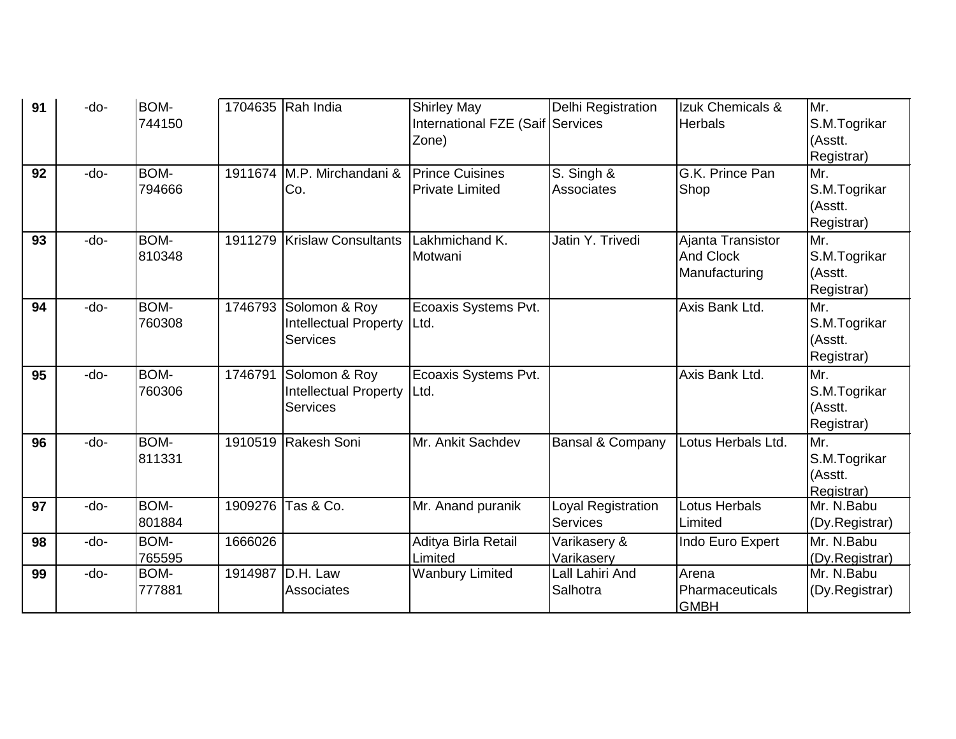| -do- | BOM-                                                     |                                                                                                                          | 1704635 Rah India                        | <b>Shirley May</b>                                                                                                                                                                                                                                        | Delhi Registration                                                                                                                                                                                                        | Izuk Chemicals &                                                                                                                                                                           | Mr.                                                                                                                                                                                                 |
|------|----------------------------------------------------------|--------------------------------------------------------------------------------------------------------------------------|------------------------------------------|-----------------------------------------------------------------------------------------------------------------------------------------------------------------------------------------------------------------------------------------------------------|---------------------------------------------------------------------------------------------------------------------------------------------------------------------------------------------------------------------------|--------------------------------------------------------------------------------------------------------------------------------------------------------------------------------------------|-----------------------------------------------------------------------------------------------------------------------------------------------------------------------------------------------------|
|      | 744150                                                   |                                                                                                                          |                                          |                                                                                                                                                                                                                                                           |                                                                                                                                                                                                                           | <b>Herbals</b>                                                                                                                                                                             | S.M.Togrikar                                                                                                                                                                                        |
|      |                                                          |                                                                                                                          |                                          | Zone)                                                                                                                                                                                                                                                     |                                                                                                                                                                                                                           |                                                                                                                                                                                            | (Asstt.                                                                                                                                                                                             |
|      |                                                          |                                                                                                                          |                                          |                                                                                                                                                                                                                                                           |                                                                                                                                                                                                                           |                                                                                                                                                                                            | Registrar)                                                                                                                                                                                          |
| -do- |                                                          |                                                                                                                          |                                          |                                                                                                                                                                                                                                                           |                                                                                                                                                                                                                           |                                                                                                                                                                                            | Mr.                                                                                                                                                                                                 |
|      | 794666                                                   |                                                                                                                          | Co.                                      | <b>Private Limited</b>                                                                                                                                                                                                                                    | Associates                                                                                                                                                                                                                | Shop                                                                                                                                                                                       | S.M.Togrikar                                                                                                                                                                                        |
|      |                                                          |                                                                                                                          |                                          |                                                                                                                                                                                                                                                           |                                                                                                                                                                                                                           |                                                                                                                                                                                            | (Asstt.                                                                                                                                                                                             |
|      |                                                          |                                                                                                                          |                                          |                                                                                                                                                                                                                                                           |                                                                                                                                                                                                                           |                                                                                                                                                                                            | Registrar)                                                                                                                                                                                          |
|      |                                                          |                                                                                                                          |                                          |                                                                                                                                                                                                                                                           |                                                                                                                                                                                                                           |                                                                                                                                                                                            | Mr.                                                                                                                                                                                                 |
|      |                                                          |                                                                                                                          |                                          |                                                                                                                                                                                                                                                           |                                                                                                                                                                                                                           |                                                                                                                                                                                            | S.M.Togrikar                                                                                                                                                                                        |
|      |                                                          |                                                                                                                          |                                          |                                                                                                                                                                                                                                                           |                                                                                                                                                                                                                           |                                                                                                                                                                                            | (Asstt.                                                                                                                                                                                             |
|      |                                                          |                                                                                                                          |                                          |                                                                                                                                                                                                                                                           |                                                                                                                                                                                                                           |                                                                                                                                                                                            | Registrar)                                                                                                                                                                                          |
|      |                                                          |                                                                                                                          |                                          |                                                                                                                                                                                                                                                           |                                                                                                                                                                                                                           |                                                                                                                                                                                            | Mr.                                                                                                                                                                                                 |
|      |                                                          |                                                                                                                          |                                          |                                                                                                                                                                                                                                                           |                                                                                                                                                                                                                           |                                                                                                                                                                                            | S.M.Togrikar                                                                                                                                                                                        |
|      |                                                          |                                                                                                                          |                                          |                                                                                                                                                                                                                                                           |                                                                                                                                                                                                                           |                                                                                                                                                                                            | (Asstt.                                                                                                                                                                                             |
|      |                                                          |                                                                                                                          |                                          |                                                                                                                                                                                                                                                           |                                                                                                                                                                                                                           |                                                                                                                                                                                            | Registrar)                                                                                                                                                                                          |
|      |                                                          |                                                                                                                          |                                          |                                                                                                                                                                                                                                                           |                                                                                                                                                                                                                           |                                                                                                                                                                                            | Mr.                                                                                                                                                                                                 |
|      |                                                          |                                                                                                                          |                                          |                                                                                                                                                                                                                                                           |                                                                                                                                                                                                                           |                                                                                                                                                                                            | S.M.Togrikar                                                                                                                                                                                        |
|      |                                                          |                                                                                                                          |                                          |                                                                                                                                                                                                                                                           |                                                                                                                                                                                                                           |                                                                                                                                                                                            | (Asstt.                                                                                                                                                                                             |
|      |                                                          |                                                                                                                          |                                          |                                                                                                                                                                                                                                                           |                                                                                                                                                                                                                           |                                                                                                                                                                                            | Registrar)                                                                                                                                                                                          |
|      |                                                          |                                                                                                                          |                                          |                                                                                                                                                                                                                                                           |                                                                                                                                                                                                                           |                                                                                                                                                                                            | Mr.                                                                                                                                                                                                 |
|      |                                                          |                                                                                                                          |                                          |                                                                                                                                                                                                                                                           |                                                                                                                                                                                                                           |                                                                                                                                                                                            | S.M.Togrikar                                                                                                                                                                                        |
|      |                                                          |                                                                                                                          |                                          |                                                                                                                                                                                                                                                           |                                                                                                                                                                                                                           |                                                                                                                                                                                            | (Asstt.                                                                                                                                                                                             |
|      |                                                          |                                                                                                                          |                                          |                                                                                                                                                                                                                                                           |                                                                                                                                                                                                                           |                                                                                                                                                                                            | Registrar)<br>Mr. N.Babu                                                                                                                                                                            |
|      |                                                          |                                                                                                                          |                                          |                                                                                                                                                                                                                                                           |                                                                                                                                                                                                                           |                                                                                                                                                                                            | (Dy.Registrar)                                                                                                                                                                                      |
|      |                                                          |                                                                                                                          |                                          |                                                                                                                                                                                                                                                           |                                                                                                                                                                                                                           |                                                                                                                                                                                            |                                                                                                                                                                                                     |
|      |                                                          |                                                                                                                          |                                          |                                                                                                                                                                                                                                                           |                                                                                                                                                                                                                           |                                                                                                                                                                                            | Mr. N.Babu                                                                                                                                                                                          |
|      |                                                          |                                                                                                                          |                                          |                                                                                                                                                                                                                                                           |                                                                                                                                                                                                                           |                                                                                                                                                                                            | (Dy.Registrar)<br>Mr. N.Babu                                                                                                                                                                        |
|      | 777881                                                   |                                                                                                                          | Associates                               |                                                                                                                                                                                                                                                           | Salhotra                                                                                                                                                                                                                  | Pharmaceuticals                                                                                                                                                                            | (Dy.Registrar)                                                                                                                                                                                      |
|      |                                                          |                                                                                                                          |                                          |                                                                                                                                                                                                                                                           |                                                                                                                                                                                                                           |                                                                                                                                                                                            |                                                                                                                                                                                                     |
|      | -do-<br>-do-<br>-do-<br>-do-<br>-do-<br>$-do-$<br>$-do-$ | BOM-<br>BOM-<br>810348<br>BOM-<br>760308<br>BOM-<br>760306<br>BOM-<br>811331<br>BOM-<br>801884<br>BOM-<br>765595<br>BOM- | 1911279<br>1746793<br>1746791<br>1666026 | 1911674 M.P. Mirchandani &<br><b>Krislaw Consultants</b><br>Solomon & Roy<br>Intellectual Property<br><b>Services</b><br>Solomon & Roy<br><b>Intellectual Property</b><br><b>Services</b><br>1910519 Rakesh Soni<br>1909276 Tas & Co.<br>1914987 D.H. Law | <b>Prince Cuisines</b><br>Lakhmichand K.<br>Motwani<br>Ecoaxis Systems Pvt.<br>Ltd.<br>Ecoaxis Systems Pvt.<br>Ltd.<br>Mr. Ankit Sachdev<br>Mr. Anand puranik<br>Aditya Birla Retail<br>Limited<br><b>Wanbury Limited</b> | International FZE (Saif Services<br>S. Singh &<br>Jatin Y. Trivedi<br><b>Bansal &amp; Company</b><br>oyal Registration<br><b>Services</b><br>Varikasery &<br>Varikasery<br>Lall Lahiri And | G.K. Prince Pan<br>Ajanta Transistor<br><b>And Clock</b><br>Manufacturing<br>Axis Bank Ltd.<br>Axis Bank Ltd.<br>Lotus Herbals Ltd.<br><b>Lotus Herbals</b><br>Limited<br>Indo Euro Expert<br>Arena |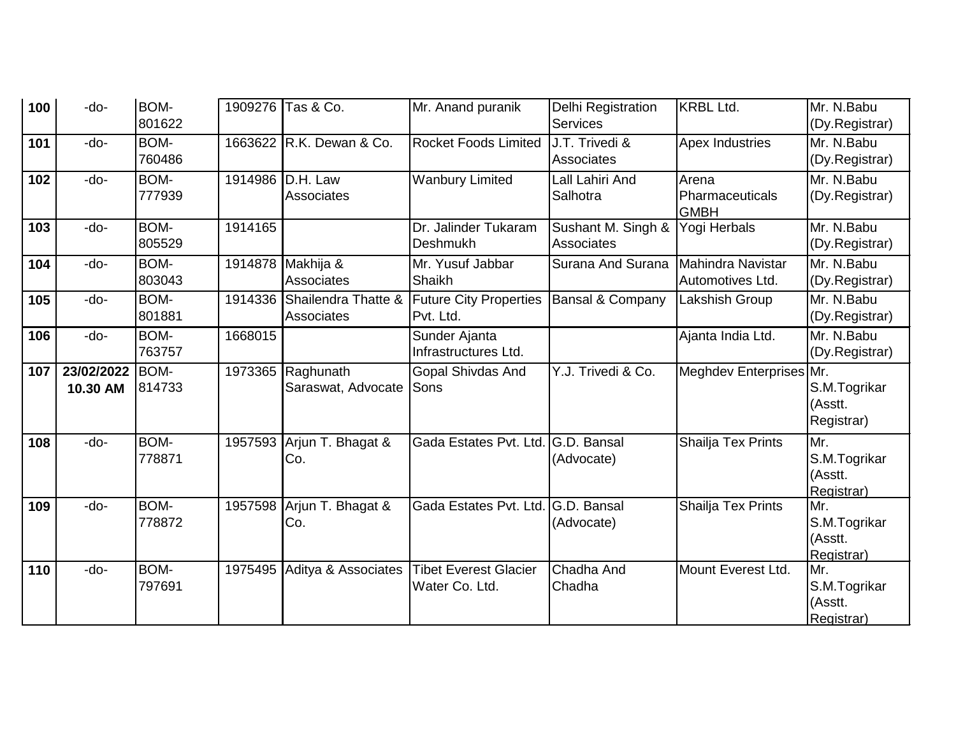| 100 | -do-                   | <b>BOM-</b><br>801622 |         | 1909276 Tas & Co.                        | Mr. Anand puranik                              | <b>Delhi Registration</b><br><b>Services</b> | KRBL Ltd.                               | Mr. N.Babu<br>(Dy.Registrar)                 |
|-----|------------------------|-----------------------|---------|------------------------------------------|------------------------------------------------|----------------------------------------------|-----------------------------------------|----------------------------------------------|
| 101 | -do-                   | BOM-<br>760486        |         | 1663622 R.K. Dewan & Co.                 | <b>Rocket Foods Limited</b>                    | J.T. Trivedi &<br>Associates                 | <b>Apex Industries</b>                  | Mr. N.Babu<br>(Dy.Registrar)                 |
| 102 | -do-                   | BOM-<br>777939        |         | 1914986 D.H. Law<br>Associates           | <b>Wanbury Limited</b>                         | Lall Lahiri And<br>Salhotra                  | Arena<br>Pharmaceuticals<br><b>GMBH</b> | Mr. N.Babu<br>(Dy.Registrar)                 |
| 103 | -do-                   | BOM-<br>805529        | 1914165 |                                          | Dr. Jalinder Tukaram<br>Deshmukh               | Sushant M. Singh &<br>Associates             | Yogi Herbals                            | Mr. N.Babu<br>(Dy.Registrar)                 |
| 104 | -do-                   | <b>BOM-</b><br>803043 |         | 1914878 Makhija &<br>Associates          | Mr. Yusuf Jabbar<br>Shaikh                     | Surana And Surana                            | Mahindra Navistar<br>Automotives Ltd.   | Mr. N.Babu<br>(Dy.Registrar)                 |
| 105 | $-do-$                 | BOM-<br>801881        | 1914336 | Shailendra Thatte &<br><b>Associates</b> | <b>Future City Properties</b><br>Pvt. Ltd.     | Bansal & Company                             | Lakshish Group                          | Mr. N.Babu<br>(Dy.Registrar)                 |
| 106 | -do-                   | BOM-<br>763757        | 1668015 |                                          | Sunder Ajanta<br>Infrastructures Ltd.          |                                              | Ajanta India Ltd.                       | Mr. N.Babu<br>(Dy.Registrar)                 |
| 107 | 23/02/2022<br>10.30 AM | <b>BOM-</b><br>814733 | 1973365 | Raghunath<br>Saraswat, Advocate          | <b>Gopal Shivdas And</b><br>Sons               | Y.J. Trivedi & Co.                           | Meghdev Enterprises Mr.                 | S.M.Togrikar<br>(Asstt.<br>Registrar)        |
| 108 | -do-                   | BOM-<br>778871        |         | 1957593 Arjun T. Bhagat &<br>Co.         | Gada Estates Pvt. Ltd.                         | G.D. Bansal<br>(Advocate)                    | Shailja Tex Prints                      | Mr.<br>S.M.Togrikar<br>(Asstt.<br>Registrar) |
| 109 | -do-                   | BOM-<br>778872        |         | 1957598 Arjun T. Bhagat &<br>Co.         | Gada Estates Pvt. Ltd.                         | G.D. Bansal<br>(Advocate)                    | Shailja Tex Prints                      | Mr.<br>S.M.Togrikar<br>(Asstt.<br>Registrar) |
| 110 | -do-                   | BOM-<br>797691        | 1975495 | Aditya & Associates                      | <b>Tibet Everest Glacier</b><br>Water Co. Ltd. | Chadha And<br>Chadha                         | Mount Everest Ltd.                      | Mr.<br>S.M.Togrikar<br>(Asstt.<br>Registrar) |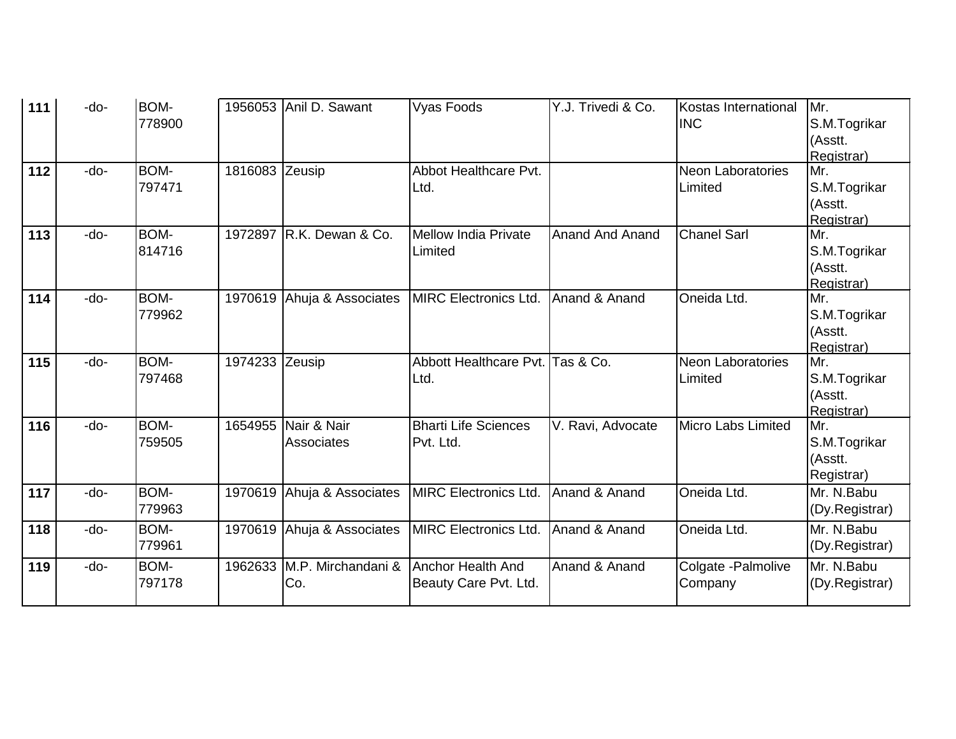| 111 | -do-   | <b>BOM-</b> |                | 1956053 Anil D. Sawant     | <b>Vyas Foods</b>            | Y.J. Trivedi & Co.     | Kostas International     | Mr.                     |
|-----|--------|-------------|----------------|----------------------------|------------------------------|------------------------|--------------------------|-------------------------|
|     |        | 778900      |                |                            |                              |                        | <b>INC</b>               | S.M.Togrikar            |
|     |        |             |                |                            |                              |                        |                          | (Asstt.                 |
|     |        |             |                |                            |                              |                        |                          | Registrar)              |
| 112 | $-do-$ | BOM-        | 1816083 Zeusip |                            | Abbot Healthcare Pvt.        |                        | <b>Neon Laboratories</b> | Mr.                     |
|     |        | 797471      |                |                            | Ltd.                         |                        | Limited                  | S.M.Togrikar            |
|     |        |             |                |                            |                              |                        |                          | (Asstt.                 |
| 113 | -do-   | <b>BOM-</b> | 1972897        | IR.K. Dewan & Co.          | <b>Mellow India Private</b>  | <b>Anand And Anand</b> | <b>Chanel Sarl</b>       | Registrar)<br>Mr.       |
|     |        | 814716      |                |                            | Limited                      |                        |                          |                         |
|     |        |             |                |                            |                              |                        |                          | S.M.Togrikar<br>(Asstt. |
|     |        |             |                |                            |                              |                        |                          |                         |
| 114 | $-do-$ | BOM-        |                | 1970619 Ahuja & Associates | <b>MIRC Electronics Ltd.</b> | Anand & Anand          | Oneida Ltd.              | Registrar)<br>Mr.       |
|     |        | 779962      |                |                            |                              |                        |                          | S.M.Togrikar            |
|     |        |             |                |                            |                              |                        |                          | (Asstt.                 |
|     |        |             |                |                            |                              |                        |                          | Registrar)              |
| 115 | $-do-$ | BOM-        | 1974233 Zeusip |                            | Abbott Healthcare Pvt.       | Tas & Co.              | <b>Neon Laboratories</b> | Mr.                     |
|     |        | 797468      |                |                            | Ltd.                         |                        | Limited                  | S.M.Togrikar            |
|     |        |             |                |                            |                              |                        |                          | (Asstt.                 |
|     |        |             |                |                            |                              |                        |                          | Registrar)              |
| 116 | -do-   | BOM-        |                | 1654955 Nair & Nair        | <b>Bharti Life Sciences</b>  | V. Ravi, Advocate      | Micro Labs Limited       | Mr.                     |
|     |        | 759505      |                | <b>Associates</b>          | Pvt. Ltd.                    |                        |                          | S.M.Togrikar            |
|     |        |             |                |                            |                              |                        |                          | (Asstt.                 |
|     |        |             |                |                            |                              |                        |                          | Registrar)              |
| 117 | -do-   | <b>BOM-</b> |                | 1970619 Ahuja & Associates | <b>MIRC Electronics Ltd.</b> | Anand & Anand          | Oneida Ltd.              | Mr. N.Babu              |
|     |        | 779963      |                |                            |                              |                        |                          | (Dy.Registrar)          |
| 118 | -do-   | BOM-        |                | 1970619 Ahuja & Associates | <b>MIRC Electronics Ltd.</b> | Anand & Anand          | Oneida Ltd.              | Mr. N.Babu              |
|     |        | 779961      |                |                            |                              |                        |                          | (Dy.Registrar)          |
| 119 | -do-   | BOM-        |                | 1962633 M.P. Mirchandani & | <b>Anchor Health And</b>     | Anand & Anand          | Colgate - Palmolive      | Mr. N.Babu              |
|     |        | 797178      |                | Co.                        | Beauty Care Pvt. Ltd.        |                        | Company                  | (Dy.Registrar)          |
|     |        |             |                |                            |                              |                        |                          |                         |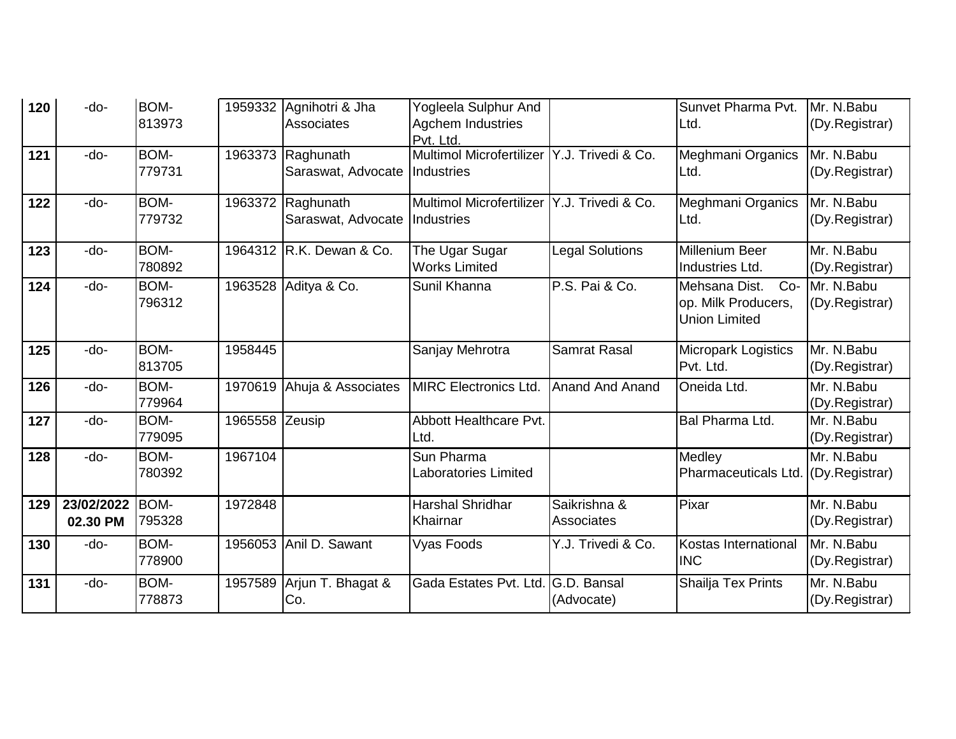| 120 | -do-                   | <b>BOM-</b><br>813973 | 1959332        | Agnihotri & Jha<br>Associates   | Yogleela Sulphur And<br><b>Agchem Industries</b><br>Pvt. Ltd. |                                   | Sunvet Pharma Pvt.<br>Ltd.                                            | Mr. N.Babu<br>(Dy.Registrar) |
|-----|------------------------|-----------------------|----------------|---------------------------------|---------------------------------------------------------------|-----------------------------------|-----------------------------------------------------------------------|------------------------------|
| 121 | -do-                   | BOM-<br>779731        | 1963373        | Raghunath<br>Saraswat, Advocate | <b>Multimol Microfertilizer</b><br>Industries                 | Y.J. Trivedi & Co.                | Meghmani Organics<br>Ltd.                                             | Mr. N.Babu<br>(Dy.Registrar) |
| 122 | -do-                   | BOM-<br>779732        | 1963372        | Raghunath<br>Saraswat, Advocate | Multimol Microfertilizer   Y.J. Trivedi & Co.<br>Industries   |                                   | Meghmani Organics<br>Ltd.                                             | Mr. N.Babu<br>(Dy.Registrar) |
| 123 | -do-                   | BOM-<br>780892        |                | 1964312 R.K. Dewan & Co.        | The Ugar Sugar<br><b>Works Limited</b>                        | <b>Legal Solutions</b>            | <b>Millenium Beer</b><br>Industries Ltd.                              | Mr. N.Babu<br>(Dy.Registrar) |
| 124 | -do-                   | BOM-<br>796312        |                | 1963528 Aditya & Co.            | Sunil Khanna                                                  | P.S. Pai & Co.                    | Mehsana Dist.<br>$Co-$<br>op. Milk Producers,<br><b>Union Limited</b> | Mr. N.Babu<br>(Dy.Registrar) |
| 125 | -do-                   | BOM-<br>813705        | 1958445        |                                 | Sanjay Mehrotra                                               | <b>Samrat Rasal</b>               | Micropark Logistics<br>Pvt. Ltd.                                      | Mr. N.Babu<br>(Dy.Registrar) |
| 126 | -do-                   | BOM-<br>779964        | 1970619        | Ahuja & Associates              | <b>MIRC Electronics Ltd.</b>                                  | <b>Anand And Anand</b>            | Oneida Ltd.                                                           | Mr. N.Babu<br>(Dy.Registrar) |
| 127 | -do-                   | BOM-<br>779095        | 1965558 Zeusip |                                 | Abbott Healthcare Pvt.<br>Ltd.                                |                                   | Bal Pharma Ltd.                                                       | Mr. N.Babu<br>(Dy.Registrar) |
| 128 | -do-                   | BOM-<br>780392        | 1967104        |                                 | Sun Pharma<br>Laboratories Limited                            |                                   | Medley<br>Pharmaceuticals Ltd.                                        | Mr. N.Babu<br>(Dy.Registrar) |
| 129 | 23/02/2022<br>02.30 PM | <b>BOM-</b><br>795328 | 1972848        |                                 | <b>Harshal Shridhar</b><br>Khairnar                           | Saikrishna &<br><b>Associates</b> | Pixar                                                                 | Mr. N.Babu<br>(Dy.Registrar) |
| 130 | -do-                   | BOM-<br>778900        | 1956053        | Anil D. Sawant                  | <b>Vyas Foods</b>                                             | Y.J. Trivedi & Co.                | Kostas International<br><b>INC</b>                                    | Mr. N.Babu<br>(Dy.Registrar) |
| 131 | -do-                   | BOM-<br>778873        | 1957589        | Arjun T. Bhagat &<br>Co.        | Gada Estates Pvt. Ltd. G.D. Bansal                            | (Advocate)                        | Shailja Tex Prints                                                    | Mr. N.Babu<br>(Dy.Registrar) |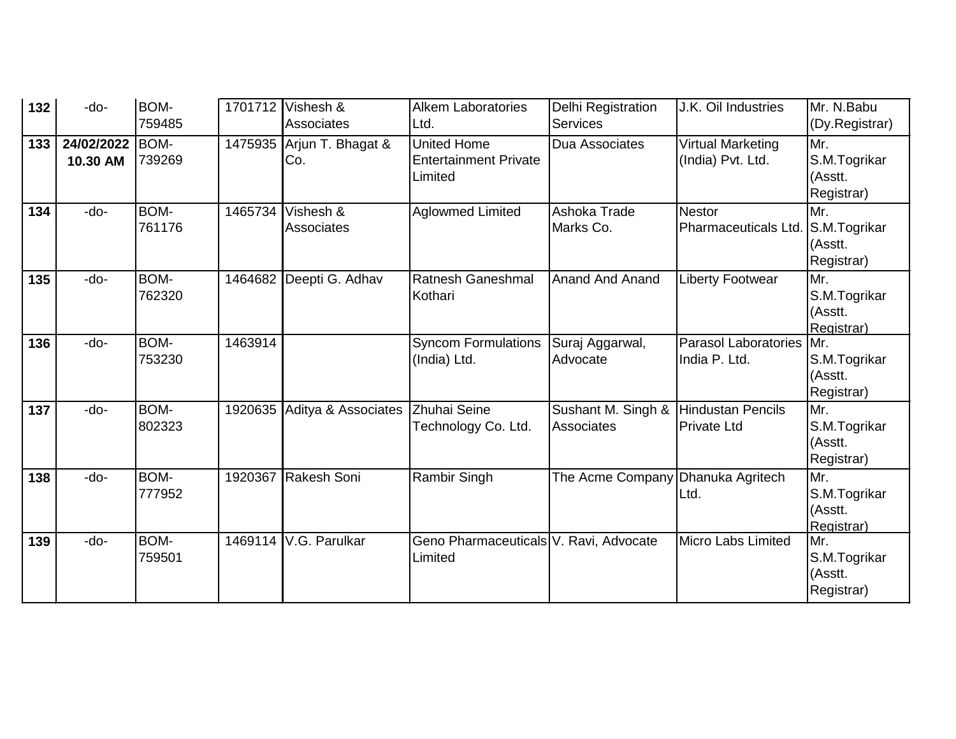| 132 | -do-                   | BOM-<br>759485 |         | 1701712 Vishesh &<br><b>Associates</b> | <b>Alkem Laboratories</b><br>Ltd.                             | Delhi Registration<br><b>Services</b> | J.K. Oil Industries                            | Mr. N.Babu<br>(Dy.Registrar)                  |
|-----|------------------------|----------------|---------|----------------------------------------|---------------------------------------------------------------|---------------------------------------|------------------------------------------------|-----------------------------------------------|
| 133 | 24/02/2022<br>10.30 AM | BOM-<br>739269 |         | 1475935 Arjun T. Bhagat &<br>Co.       | <b>United Home</b><br><b>Entertainment Private</b><br>Limited | Dua Associates                        | <b>Virtual Marketing</b><br>(India) Pvt. Ltd.  | Mr.<br>S.M.Togrikar<br>(Asstt.<br>Registrar)  |
| 134 | -do-                   | BOM-<br>761176 | 1465734 | Vishesh &<br>Associates                | <b>Aglowmed Limited</b>                                       | Ashoka Trade<br>Marks Co.             | <b>Nestor</b><br>Pharmaceuticals Ltd.          | Mr.<br>S.M.Togrikar<br>(Asstt.<br>Registrar)  |
| 135 | $-do-$                 | BOM-<br>762320 |         | 1464682 Deepti G. Adhav                | <b>Ratnesh Ganeshmal</b><br>Kothari                           | <b>Anand And Anand</b>                | <b>Liberty Footwear</b>                        | Mr.<br>S.M.Togrikar<br>(Asstt.<br>Registrar)  |
| 136 | $-do-$                 | BOM-<br>753230 | 1463914 |                                        | <b>Syncom Formulations</b><br>(India) Ltd.                    | Suraj Aggarwal,<br>Advocate           | <b>Parasol Laboratories</b><br>India P. Ltd.   | IMr.<br>S.M.Togrikar<br>(Asstt.<br>Registrar) |
| 137 | -do-                   | BOM-<br>802323 | 1920635 | Aditya & Associates                    | Zhuhai Seine<br>Technology Co. Ltd.                           | Sushant M. Singh &<br>Associates      | <b>Hindustan Pencils</b><br><b>Private Ltd</b> | Mr.<br>S.M.Togrikar<br>(Asstt.<br>Registrar)  |
| 138 | -do-                   | BOM-<br>777952 | 1920367 | Rakesh Soni                            | Rambir Singh                                                  | The Acme Company Dhanuka Agritech     | Ltd.                                           | Mr.<br>S.M.Togrikar<br>(Asstt.<br>Registrar)  |
| 139 | $-do-$                 | BOM-<br>759501 |         | 1469114 V.G. Parulkar                  | Geno Pharmaceuticals V. Ravi, Advocate<br>Limited             |                                       | <b>Micro Labs Limited</b>                      | Mr.<br>S.M.Togrikar<br>(Asstt.<br>Registrar)  |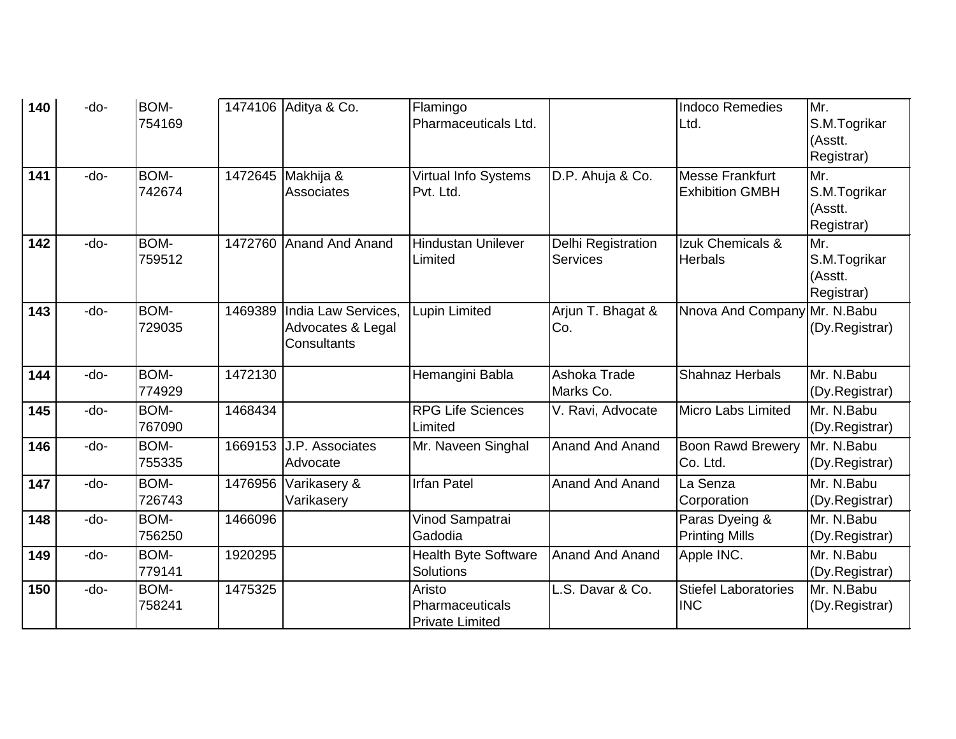| S.M.Togrikar<br>Registrar)<br>S.M.Togrikar<br>Registrar)<br>S.M.Togrikar<br>Registrar) |
|----------------------------------------------------------------------------------------|
|                                                                                        |
|                                                                                        |
|                                                                                        |
|                                                                                        |
|                                                                                        |
|                                                                                        |
|                                                                                        |
|                                                                                        |
|                                                                                        |
|                                                                                        |
| Nnova And Company Mr. N. Babu                                                          |
| (Dy.Registrar)                                                                         |
|                                                                                        |
| Mr. N.Babu                                                                             |
| (Dy.Registrar)                                                                         |
| Mr. N.Babu                                                                             |
| (Dy.Registrar)                                                                         |
| Mr. N.Babu                                                                             |
| (Dy.Registrar)                                                                         |
| Mr. N.Babu                                                                             |
| (Dy.Registrar)                                                                         |
| Mr. N.Babu                                                                             |
| (Dy.Registrar)                                                                         |
| Mr. N.Babu                                                                             |
|                                                                                        |
| (Dy.Registrar)                                                                         |
| Mr. N.Babu<br>(Dy.Registrar)                                                           |
|                                                                                        |